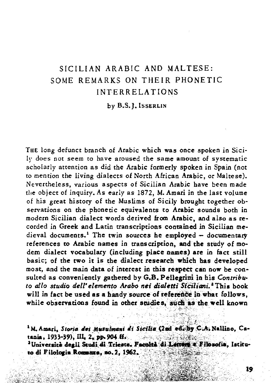## SICILIAN ARABIC AND MALTESE: SOME REMARKS ON THEIR PHONETIC INTERRELATIONS

by B.S.I. ISSERLIN

THE long defunct branch of Arabic which was once spoken in Sicily does not seem to have aroused the same amount of systematic scholarly attention as did the Arabic formerly spoken in Spain (not to mention the living dialects of North African Arabic, or Maltese). Nevertheless, various aspects of Sicilian Arabic have been made tbe object of inquiry. As early as 1872, M. Amari in the last volume of his great history of the Muslims of Sicily brought together observations on the phonetic equivalents to Arabic sounds both in modern Sicilian dialect words derived from Arabic, and also as recorded in Greek and Latin transcriptions contained in Sicilian medieval documents.<sup>1</sup> The twin sources he employed - documentaryreferences to Arabic names in transcription, and the study of modem dialect vocabulary (including place names) are in fact still basic; of the two it is the dialect research which has developed most, and the main data of interest in this respect can now be consulted as conveniently gathered by G.B. Pellegrini in his *Contributo allo studio dell'elemento Arabo nei dialetti Stciliani.<sup>2</sup> This book* will in fact be used as a handy source of reference in what follows, while observations found in other studies, such as the well known

<u>.</u><br>M. Amari, *Storia dei Musulmani di Sicilia* (2nd ed. by C.A. Nallino, Catania, 1933-39), III, 2, pp. 904 ff.

<sup>3</sup>Università degli Studi di Trieste. Facultà di Lettere e Filosofia, Istituto di Filologia Romanza, so. 2, 1962.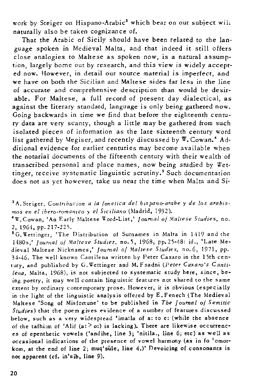work by Steiger on Hispano-Arabic<sup>3</sup> which bear on our subject will naturally also be taken cognizance of.

That the Arabic of Sicily should have been related to the language spoken in Medieval Malta, and that indeed it still offers close analogies to Maltese as spoken now, *is* a natural assumption, largely borne out by research, and this view is widely accepted now. However, in detail our source material is imperfect, and we have on both the Sicilian and Maltese sides far less in the line of accurate and comprehensive description than would be desirable. For Maltese, a full record of present day dialectical, as against the literary standard, language is only being gathered now. Going backwards in time we find that before the eighteenth century data are very scanty, though a little may be gathered from such isolated *pieces* of information as the late sixteenth century word list gathered by Megiser, and recently discussed by W. Cowan.<sup>4</sup> Additional evidence for earlier centuries may become available when the notarial documents of the fifteenth century with their wealth of transcribed personal and place names, now being studied by Wet· tinger, receive systematic linguistic scrutiny.5 Such documentation does not as yet however, take us near the time when Malta and Si·

<sup>3</sup>A. Steiger, *Contribucion a la fonetica del hispano-arabe* y *de los arabismos en el ibeTo-romanico* y *el Slcz/iano* (Madrid, 1932).

·W.Cowan, IAn Early Maltese Word-List,' *Journal o/.\1altese Studies.* no. 2,1964, pp. 217-22').

<sup>5</sup>G. Wettinger, 'The Distribution of Surnames in Malta in 1419 and the 1480s,' Journal of Maltese Studies, no. 5, 1968, pp. 25-48: id., 'Late Medieval Maltese Nicknames,' *Journal of Maltese Studies*, no.6, 1971, pp. 3-1-46. The well known Cantilena written by Peter Caxaro in the 15th century, and published by G. Wettinger and M. Fsadni *(Peter Caxaro's Cantilena,* Malta, 1968), is not subjected to systematic scudy here, since, being poetry, it may well contain linguistic features not shared to the Same extent by ordinary contemporary prose. However, it is obvious (especially in the light of the linguistic analysis offered by E. Fenech (The Medieval Maltese 'Song of Misfortune' to be published in *The Journal of Semitic Studies)* that the poem gives evidence of a number of features discussed below, such as a very widespread 'ima:la of a: to *e:* (while the absence of the tafhi:m of 'Alif  $(a: \ge 0)$  is lacking). There are likewise occurrences of epenthetic vowels ('andihe, line 3; 'nitila., line 6; etc) as well as occasional indications of the presence of vowel harmony (as in fo 'omorkom, at the end of line 2; muq'sule, line 4.)' Devoicing of consonants is not apparent (cf. in'sib, line 9).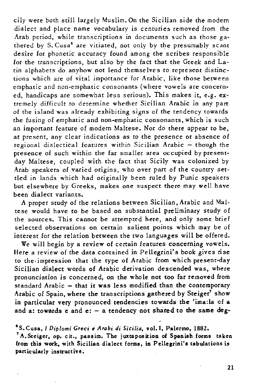cily were both *still* largely Muslim. On the *Sicilian side* rhe modern dialect and place name vocabulary *is* centuries removed from the Arab period, while transcriptions in documents such as those gathered by S. Cusa' are vitiated, not only by the presumably scant desire for phoneric accuracy found among the scribes responsible for the transcriptions, but also by the fact that the Greek and Latin alphabets do anyhow not lend themselves to represent distinctions which are of vital importance for Arabic, like those between **emphatic and non-emphatic consonants (where vowels are concern**ed, handicaps are somewhat less serious). This makes it, e.g. extremely di.fficult ro determine whether *Sicilian* Arabic in any part of the island was already exhibiting signs of the tendency towards the fusing of emphatic and non-emphatic consonants, which is such an important feature of modern Maltese. Nor do there appear to be, at present, any clear indications as to the presence or absence of regional dialectical features within Sicilian Arabic - though the presence of such within the far smaller area occupied by presentday Maltese, coupled with the fact that Sicily was colonized by Arab speakers of varied origins, who over part of the country settled in lands which had originally been ruled by Punic speakers but elsewhere by Greeks, makes one suspect there may well have **been dialect variants.** 

A proper study of the relations between Sicilian, Arabic and Maltese would have to be based on substantial preliminary study of the sources. This cannot be attempted here, and only some brief selected observations on certain salient points which may be of interest for the relation between the two languages will be offered.

We will begin by a review of certain features concerning vowels. Here a review of the data contained in Pellegrini's book gives rise to the· impression that the type of Arabic from which present-day Sicilian dialect words of Arabic derivation descended was, where pronunciation is concerned, on the whole not too far removed from standard Arabic - that it was less modified than the contemporary Arabic of Spain, where the transcriptions gathered by Steiger' show in particular very pronounced tendencies towards the 'ima:la of a and a: towards e and e: - a tendency not shared to **the** same deg-

**6S.Cusa,** *I DitJlomi Greci* **It** *Arabi di Sicilia.* vol. I, **Paletmo, 1882.** 

<sup>7</sup> A. Steiger, op. cit., passim. The juxtaposition of Spanish forms taken **from tbis work, with Sicilian dialect forms, in Pellegtini's tabulations is particularly instructive.**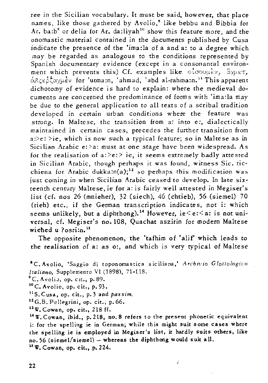*ree in* the *Sicilian* vocabulary. It must be said, however, that place names, like those gathered by Avolio,' like bebbu and Bibbia for Ar. ba:b<sup>9</sup> or delia for Ar. da:liyah<sup>10</sup> show this feature more, and the onomastic material contained in the documents published by Cusa **indicate the presence of the 'irna:la of a and a: to a degree which**  may be regarded as analogous to the conditions represented by **Spanish documentary evidence (except in a consonantal environ**ment which prevents this) Cf. examples like otopythev, axtet,  $\alpha$ <sup>2</sup>  $\alpha$ <sup>1</sup>  $\alpha$ <sup>1</sup>  $\alpha$ <sup>2</sup>  $\beta$   $\alpha$   $\beta$   $\alpha$ <sup>1</sup>  $\alpha$ <sup>1</sup>  $\alpha$ <sup>1</sup>  $\alpha$ <sup>1</sup>  $\alpha$ <sup>1</sup>  $\alpha$ <sup>1</sup>  $\alpha$ <sup>1</sup>  $\alpha$ <sup>1</sup>  $\alpha$ <sup>1</sup>  $\alpha$ <sup>1</sup>  $\alpha$ <sup>1</sup>  $\alpha$ <sup>1</sup>  $\alpha$ <sup>1</sup>  $\alpha$ <sup>1</sup> dichotomy of evidence is hard to explain: where the medieval do**cuments are concerned the predominance of forms with 'irna:la may**  be due to the general application to all texts of a scribal tradition **developed in certain urban conditions where the feature was strong. In Maltese, the transition from a: into e:, dialectically maintained in certain cases, precedes the further transition from a:>e: >ie, which is now such a typical feature; so in Maltese as in Sicilian Arabic e:** >a: **must at one stage have been widespread. As**  for the realisation of  $a$ : >  $e$ : > ie, it seems extremely badly attested in Sicilian Arabic, though perhaps it was found, witness Sic. ticchiena for Arabic dukka:n(a);<sup>12</sup> so perhaps this modification was just coming in when Sicilian Arabic ceased to develop. In late sixteenth century Maltese, ie for a: is fairly weIl attested in Megiser's list (cf. nos 26 (mnieher), 32 (siech), 46 (chtieb), 56 (siemel) 70 (rieh) etc., if the German transcription indicates, not i: which seems unlikely, but a diphthong).<sup>14</sup> However, ie $\leq$ e: $\leq$ a: is not universal, cf. Megiser's no. 108, Quachat aszirin for modern Maltese **wiehed u ?osri:n. <sup>15</sup>**

The opposite phenomenon, the 'tafhim of 'alif' which leads to the realisation of a: as 0:, and which is very typical of Maltese

**'C.Avolio, tSaggio di toponomastica siciliana:** *Archivio Glottologico ltaliano.* Supplemento VI (1898), 71-118. **9C. A"oliJ, op. Clt., p.89. lOCo Avolio, op. cit., p.93. l1S.Cusa, op. cit., p.3 and** *passim.*  **12G.B. Pellegrini, op. cit., p.66. llw. Cowan, op. eit., 21B H. 14W. Cowan, ibid., p.2lB, 00,8 refers to the present phonetic equivalent i: for the spelling ie in German; while this might suit some cases where the spelling ie is employed in Megiser's list, it hardly suits others, like**  no. 56 (siemel/sieme!) - whereas the diphthong would suit all. **15 W. Cowao, Ope cic., p.224.** 

ź.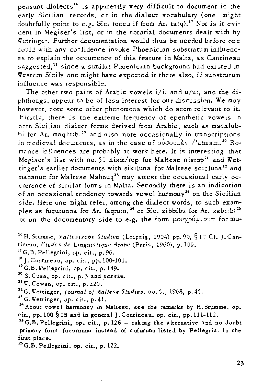peasant dialects<sup>16</sup> is apparently very difficult to document in the early Sicilian records, or in the dialect vocabulary (one might doubtfully point to e.g. Sic. toccu if from Ar. ta:q).<sup>17</sup> Nor is it evi**dent in Megiser's list, or in the notarial documents dealt with by**  Wettinger. Further documentation would thus be needed before one could with any confidence invoke Phoenician substratum influenc**es to explain the occurrence of this feature in Malta, as Cantineau**  suggested;<sup>18</sup> since a similar Phoenician background had existed in Western Sicily one might have expected it there also, if substratum influence was responsible.

The other two pairs of Arabic vowels i/i: and u/u:, and the diphthongs, appear to be of less interest for our discussion. We may **however, note some other phenomena which do seem relevant to it.**  Firstly, there is the extreme frequency of epentbetic vowels in beth Sicilian dialect forms derived from Arabic, such as macalubbi for Ar. maqlu:b,<sup>19</sup> and also more occasionally in transcriptions in medieval documents, as in the case of  $\circ \circ \circ \circ \circ \mu$ èv /'utma:n. <sup>20</sup> Romance influences are probably at work bere. It is interesting that Megiser's list with no. 51 nisit/rop for Maltese nisrop<sup>21</sup> and Wettinger's earlier documents with sikiluna for Maltese scicluna<sup>22</sup> and mahanuc for Maltese Mahnuq<sup>23</sup> may attest the occasional early occurrence of similar forms in Malta. Secondly there is an indication of an occasional tendency towards vowel harmony<sup>24</sup> on the Sicilian side. Here one might refer, among the dialect words, to such examples as fucurunna for Ar. faqru:n,<sup>25</sup> or Sic. zibbibu for Ar. zabi:b:<sup>26</sup> or on the documentary side to e.g. the form  $\mu$ ouxou $\mu\mu\mu\sigma\sigma$  for mu-

**17 G.B. Pellegrioi, op. eit., p.96 .** 

<sup>18</sup> J. Cantineau, op. cit., pp. 100-101.

<sup>19</sup> G.B. Pellegrini, op. cit., p. 149.

**20 S.Cusa, Ope cit., p. 3 and** *passim.* 

**21W.Cowan, op. dt., p.220.** 

**22G.Wettinger,** *Journal* **0/** *j\1altese Studies,* **ao.S., 1968, p.45.** 

**23G. Wettinger, op. eit., p.41..** 

<sup>24</sup> About vowel harmoney in Maltese, see the remarks by H. Stumme, op. eit., pp. 100 § 18 and in general J. Contineau, op. eit., pp. 111-112.

<sup>25</sup> G.B. Pellegrini, op. cit., p. 126 - taking the alternative and no doubt **primary form fucurnuna instead of cufuruna listed by Pellegrini in the**  first place.

"'G.B.Pellegrini, op. eit., p.122.

<sup>&</sup>lt;sup>16</sup> H. Stumme, *Maltesische Studien* (Leipzig, 1904) pp. 99, § 17 Cf. J. Can**tineau,** *Etudes de Linguistique Arabe* **(Paris, 1960), p.lOO.**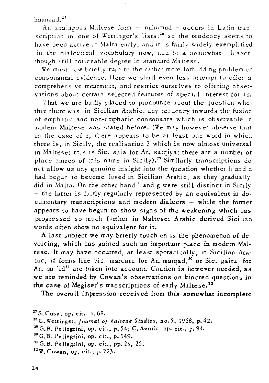**hammad. l7** 

An analagous Maltese form - muhumud - occurs in Latin tran**scription in one of Wettinger's lists: 28 so the tendency seems to**  have been active in Malta early, and it is fairly widely exemplified **in the dialectical vocabulary now, and to a somewhat lesser,**  though still noticeable degree in standard Maltese.

We must now briefly turn to the rather more forbidding problem of consonantal evidence. Here we shall even less attempt to offer a **comprehensive treatment, and restrict ourselves to offering observations about certain selected features of special interest for us.**  - That we are badly placed to pronounce about the question whe**ther there was, in Sicilian Arabic <sup>t</sup>any tendency towards the fusion of emphatic and non-emphatic consonants which is observable in modern Maltese was stated before. (We may however observe that in the case of q, there appears to be at least one word in which there iS <sup>t</sup>in Sicily, the realisation? which is now almost universal in Maltese; this is Sic. saia for Ar. sa:qiya; there are a number of**  place names of this name in Sicily)." Similarly transcriptions do **net allow us any genuine insight into the question whether h and h** had begun to become fused in Sicilian Arabic, as they gradually did in  $\text{Malta.}$  On the other hand' and g were still distinct in Sicily - the latter is fairly regularly represented by an equivalent in documentary transcriptions and modern dialects - while the former appears to have begun to show signs of the weakening which has progressed so much further in Maltese; Arabic derived Sicilian **words often show no equivalent for it.** 

A last subject we may briefly touch on *is* the phenomenon of devoicing, which has gained such an important place in modern Maltese. It may have occurred, at least sporadically, in Sicilian Arabic, if forms like Sic. marcatu for Ar. marqad,<sup>30</sup> or Sic. gaitu for **Ar. qa:'idll are taken into account. Caution is however needed, as**  we are reminded by Cowan's observations on kindred questions in the case of Megiser's transcriptions of early Maltese.<sup>32</sup>

The overall impression received from this somewhat incomplete

*'r1* **s. Cus.a, op. cit., p.68. 2eG. Wettinger,** *Journal* **0/** *,\1aitese Studies.* **00.5, 1968, p.42. 19 G. B. Pellegrini, op. cit., p. 54; c. Avolio, op. dt., p.94. lOG.B. Pellegrini, op. cit., p. 149. 31 G.B. Pellegrini, op. cit., pp. 23, 25. llW.Cowan, op. cit., p.223.**